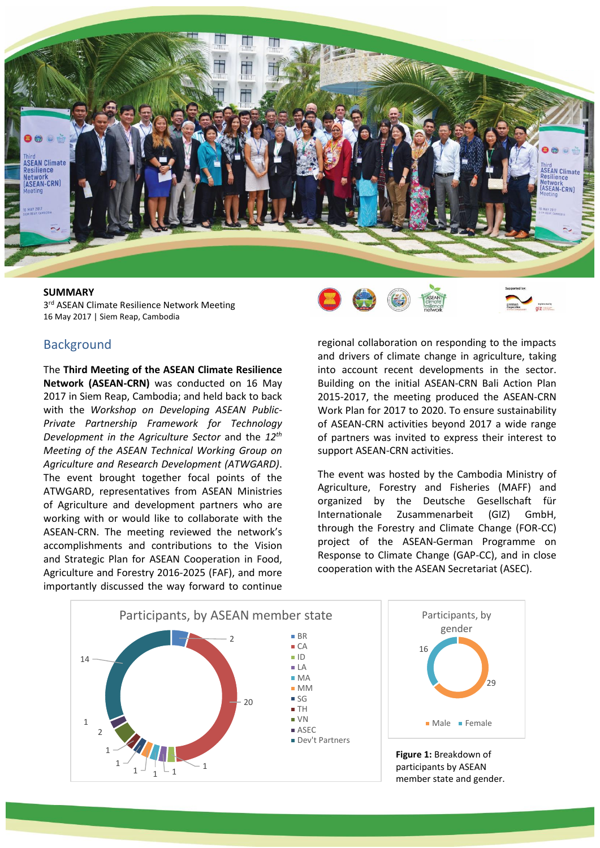

3<sup>rd</sup> ASEAN Climate Resilience Network Meeting 16 May 2017 | Siem Reap, Cambodia

## **Background**

The **Third Meeting of the ASEAN Climate Resilience Network (ASEAN-CRN)** was conducted on 16 May 2017 in Siem Reap, Cambodia; and held back to back with the *Workshop on Developing ASEAN Public-Private Partnership Framework for Technology Development in the Agriculture Sector* and the *12th Meeting of the ASEAN Technical Working Group on Agriculture and Research Development (ATWGARD)*. The event brought together focal points of the ATWGARD, representatives from ASEAN Ministries of Agriculture and development partners who are working with or would like to collaborate with the ASEAN-CRN. The meeting reviewed the network's accomplishments and contributions to the Vision and Strategic Plan for ASEAN Cooperation in Food, Agriculture and Forestry 2016-2025 (FAF), and more importantly discussed the way forward to continue



regional collaboration on responding to the impacts and drivers of climate change in agriculture, taking into account recent developments in the sector. Building on the initial ASEAN-CRN Bali Action Plan 2015-2017, the meeting produced the ASEAN-CRN Work Plan for 2017 to 2020. To ensure sustainability of ASEAN-CRN activities beyond 2017 a wide range of partners was invited to express their interest to support ASEAN-CRN activities.

The event was hosted by the Cambodia Ministry of Agriculture, Forestry and Fisheries (MAFF) and organized by the Deutsche Gesellschaft für Internationale Zusammenarbeit (GIZ) GmbH, through the Forestry and Climate Change (FOR-CC) project of the ASEAN-German Programme on Response to Climate Change (GAP-CC), and in close cooperation with the ASEAN Secretariat (ASEC).

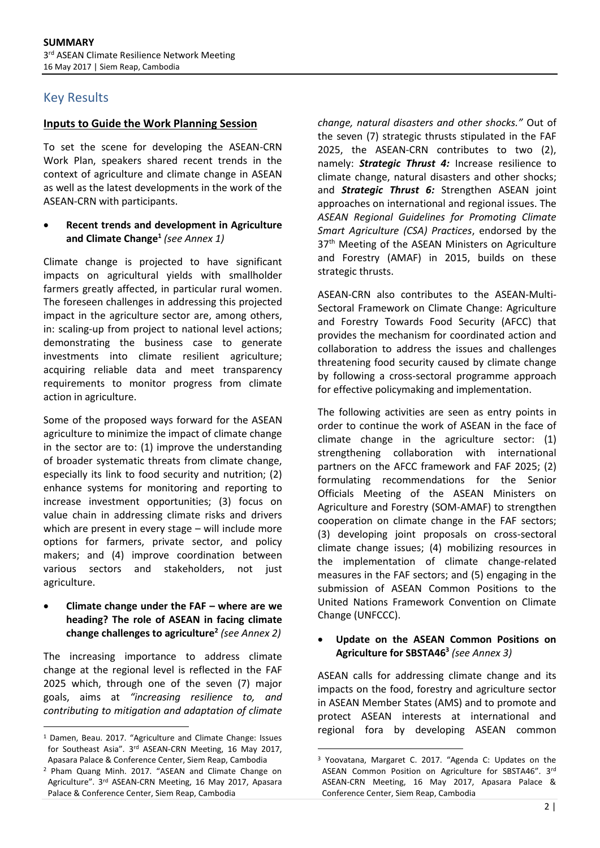# Key Results

## **Inputs to Guide the Work Planning Session**

To set the scene for developing the ASEAN-CRN Work Plan, speakers shared recent trends in the context of agriculture and climate change in ASEAN as well as the latest developments in the work of the ASEAN-CRN with participants.

## • **Recent trends and development in Agriculture and Climate Change<sup>1</sup>** *(see Annex 1)*

Climate change is projected to have significant impacts on agricultural yields with smallholder farmers greatly affected, in particular rural women. The foreseen challenges in addressing this projected impact in the agriculture sector are, among others, in: scaling-up from project to national level actions; demonstrating the business case to generate investments into climate resilient agriculture; acquiring reliable data and meet transparency requirements to monitor progress from climate action in agriculture.

Some of the proposed ways forward for the ASEAN agriculture to minimize the impact of climate change in the sector are to: (1) improve the understanding of broader systematic threats from climate change, especially its link to food security and nutrition; (2) enhance systems for monitoring and reporting to increase investment opportunities; (3) focus on value chain in addressing climate risks and drivers which are present in every stage – will include more options for farmers, private sector, and policy makers; and (4) improve coordination between various sectors and stakeholders, not just agriculture.

#### • **Climate change under the FAF – where are we heading? The role of ASEAN in facing climate change challenges to agriculture<sup>2</sup>** *(see Annex 2)*

The increasing importance to address climate change at the regional level is reflected in the FAF 2025 which, through one of the seven (7) major goals, aims at *"increasing resilience to, and contributing to mitigation and adaptation of climate* 

 $\overline{a}$ 

*change, natural disasters and other shocks."* Out of the seven (7) strategic thrusts stipulated in the FAF 2025, the ASEAN-CRN contributes to two (2), namely: *Strategic Thrust 4:* Increase resilience to climate change, natural disasters and other shocks; and *Strategic Thrust 6:* Strengthen ASEAN joint approaches on international and regional issues. The *ASEAN Regional Guidelines for Promoting Climate Smart Agriculture (CSA) Practices*, endorsed by the 37<sup>th</sup> Meeting of the ASEAN Ministers on Agriculture and Forestry (AMAF) in 2015, builds on these strategic thrusts.

ASEAN-CRN also contributes to the ASEAN-Multi-Sectoral Framework on Climate Change: Agriculture and Forestry Towards Food Security (AFCC) that provides the mechanism for coordinated action and collaboration to address the issues and challenges threatening food security caused by climate change by following a cross-sectoral programme approach for effective policymaking and implementation.

The following activities are seen as entry points in order to continue the work of ASEAN in the face of climate change in the agriculture sector: (1) strengthening collaboration with international partners on the AFCC framework and FAF 2025; (2) formulating recommendations for the Senior Officials Meeting of the ASEAN Ministers on Agriculture and Forestry (SOM-AMAF) to strengthen cooperation on climate change in the FAF sectors; (3) developing joint proposals on cross-sectoral climate change issues; (4) mobilizing resources in the implementation of climate change-related measures in the FAF sectors; and (5) engaging in the submission of ASEAN Common Positions to the United Nations Framework Convention on Climate Change (UNFCCC).

## • **Update on the ASEAN Common Positions on Agriculture for SBSTA46<sup>3</sup>** *(see Annex 3)*

ASEAN calls for addressing climate change and its impacts on the food, forestry and agriculture sector in ASEAN Member States (AMS) and to promote and protect ASEAN interests at international and regional fora by developing ASEAN common

1

<sup>1</sup> Damen, Beau. 2017. "Agriculture and Climate Change: Issues for Southeast Asia". 3rd ASEAN-CRN Meeting, 16 May 2017, Apasara Palace & Conference Center, Siem Reap, Cambodia

<sup>2</sup> Pham Quang Minh. 2017. "ASEAN and Climate Change on Agriculture". 3rd ASEAN-CRN Meeting, 16 May 2017, Apasara Palace & Conference Center, Siem Reap, Cambodia

<sup>3</sup> Yoovatana, Margaret C. 2017. "Agenda C: Updates on the ASEAN Common Position on Agriculture for SBSTA46". 3rd ASEAN-CRN Meeting, 16 May 2017, Apasara Palace & Conference Center, Siem Reap, Cambodia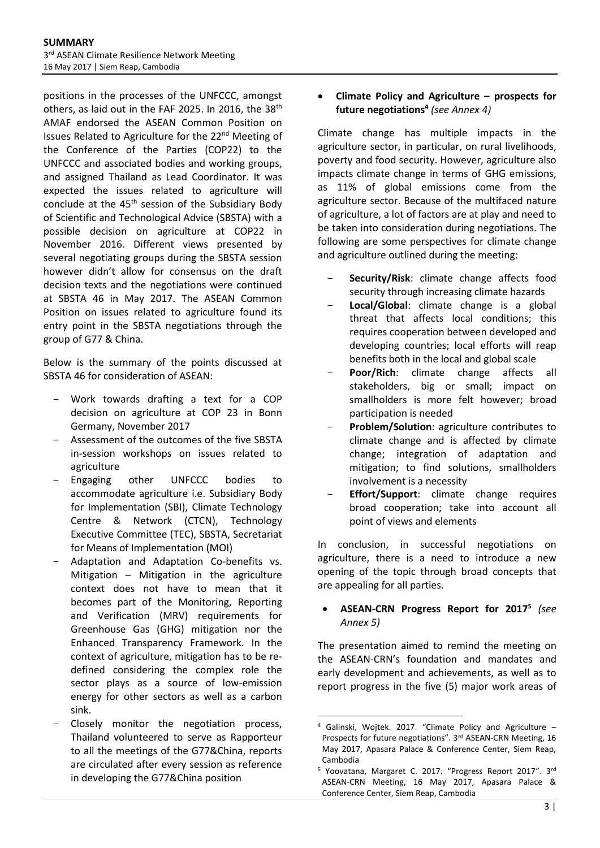positions in the processes of the UNFCCC, amongst others, as laid out in the FAF 2025. In 2016, the 38<sup>th</sup> AMAF endorsed the ASEAN Common Position on Issues Related to Agriculture for the 22nd Meeting of the Conference of the Parties (COP22) to the UNFCCC and associated bodies and working groups, and assigned Thailand as Lead Coordinator. It was expected the issues related to agriculture will conclude at the  $45<sup>th</sup>$  session of the Subsidiary Body of Scientific and Technological Advice (SBSTA) with a possible decision on agriculture at COP22 in November 2016. Different views presented by several negotiating groups during the SBSTA session however didn't allow for consensus on the draft decision texts and the negotiations were continued at SBSTA 46 in May 2017. The ASEAN Common Position on issues related to agriculture found its entry point in the SBSTA negotiations through the group of G77 & China.

Below is the summary of the points discussed at SBSTA 46 for consideration of ASEAN:

- Work towards drafting a text for a COP decision on agriculture at COP 23 in Bonn Germany, November 2017
- Assessment of the outcomes of the five SBSTA in-session workshops on issues related to agriculture
- Engaging other UNFCCC bodies to accommodate agriculture i.e. Subsidiary Body for Implementation (SBI), Climate Technology Centre & Network (CTCN), Technology Executive Committee (TEC), SBSTA, Secretariat for Means of Implementation (MOI)
- Adaptation and Adaptation Co-benefits vs. Mitigation – Mitigation in the agriculture context does not have to mean that it becomes part of the Monitoring, Reporting and Verification (MRV) requirements for Greenhouse Gas (GHG) mitigation nor the Enhanced Transparency Framework. In the context of agriculture, mitigation has to be redefined considering the complex role the sector plays as a source of low-emission energy for other sectors as well as a carbon sink.
- Closely monitor the negotiation process, Thailand volunteered to serve as Rapporteur to all the meetings of the G77&China, reports are circulated after every session as reference in developing the G77&China position

## • **Climate Policy and Agriculture – prospects for future negotiations<sup>4</sup>** *(see Annex 4)*

Climate change has multiple impacts in the agriculture sector, in particular, on rural livelihoods, poverty and food security. However, agriculture also impacts climate change in terms of GHG emissions, as 11% of global emissions come from the agriculture sector. Because of the multifaced nature of agriculture, a lot of factors are at play and need to be taken into consideration during negotiations. The following are some perspectives for climate change and agriculture outlined during the meeting:

- Security/Risk: climate change affects food security through increasing climate hazards
- **Local/Global**: climate change is a global threat that affects local conditions; this requires cooperation between developed and developing countries; local efforts will reap benefits both in the local and global scale
- **Poor/Rich**: climate change affects all stakeholders, big or small; impact on smallholders is more felt however; broad participation is needed
- **Problem/Solution**: agriculture contributes to climate change and is affected by climate change; integration of adaptation and mitigation; to find solutions, smallholders involvement is a necessity
- **Effort/Support**: climate change requires broad cooperation; take into account all point of views and elements

In conclusion, in successful negotiations on agriculture, there is a need to introduce a new opening of the topic through broad concepts that are appealing for all parties.

## • **ASEAN-CRN Progress Report for 2017<sup>5</sup>** *(see Annex 5)*

The presentation aimed to remind the meeting on the ASEAN-CRN's foundation and mandates and early development and achievements, as well as to report progress in the five (5) major work areas of

1

<sup>4</sup> Galinski, Wojtek. 2017. "Climate Policy and Agriculture – Prospects for future negotiations". 3rd ASEAN-CRN Meeting, 16 May 2017, Apasara Palace & Conference Center, Siem Reap, Cambodia

<sup>&</sup>lt;sup>5</sup> Yoovatana, Margaret C. 2017. "Progress Report 2017". 3rd ASEAN-CRN Meeting, 16 May 2017, Apasara Palace & Conference Center, Siem Reap, Cambodia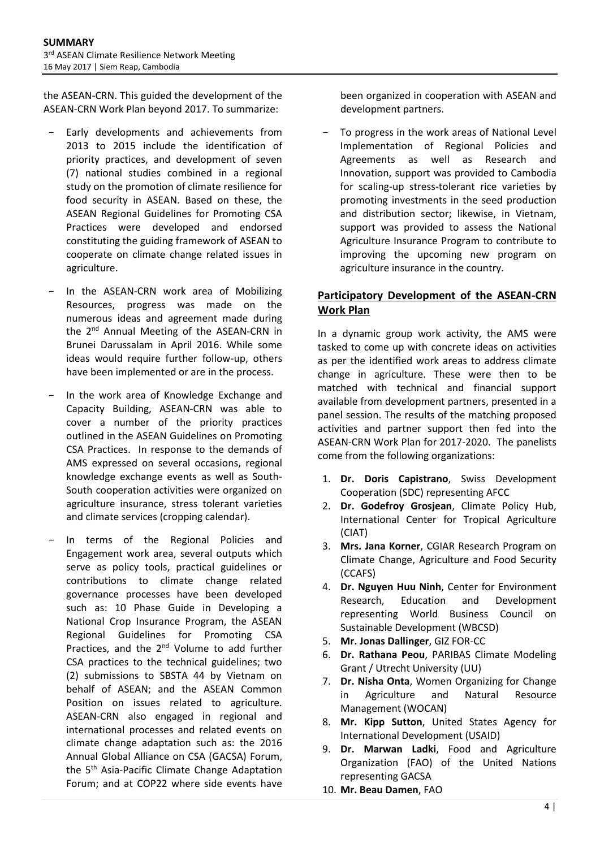the ASEAN-CRN. This guided the development of the ASEAN-CRN Work Plan beyond 2017. To summarize:

- Early developments and achievements from 2013 to 2015 include the identification of priority practices, and development of seven (7) national studies combined in a regional study on the promotion of climate resilience for food security in ASEAN. Based on these, the ASEAN Regional Guidelines for Promoting CSA Practices were developed and endorsed constituting the guiding framework of ASEAN to cooperate on climate change related issues in agriculture.
- In the ASEAN-CRN work area of Mobilizing Resources, progress was made on the numerous ideas and agreement made during the 2<sup>nd</sup> Annual Meeting of the ASEAN-CRN in Brunei Darussalam in April 2016. While some ideas would require further follow-up, others have been implemented or are in the process.
- In the work area of Knowledge Exchange and Capacity Building, ASEAN-CRN was able to cover a number of the priority practices outlined in the ASEAN Guidelines on Promoting CSA Practices. In response to the demands of AMS expressed on several occasions, regional knowledge exchange events as well as South-South cooperation activities were organized on agriculture insurance, stress tolerant varieties and climate services (cropping calendar).
- In terms of the Regional Policies and Engagement work area, several outputs which serve as policy tools, practical guidelines or contributions to climate change related governance processes have been developed such as: 10 Phase Guide in Developing a National Crop Insurance Program, the ASEAN Regional Guidelines for Promoting CSA Practices, and the 2<sup>nd</sup> Volume to add further CSA practices to the technical guidelines; two (2) submissions to SBSTA 44 by Vietnam on behalf of ASEAN; and the ASEAN Common Position on issues related to agriculture. ASEAN-CRN also engaged in regional and international processes and related events on climate change adaptation such as: the 2016 Annual Global Alliance on CSA (GACSA) Forum, the 5<sup>th</sup> Asia-Pacific Climate Change Adaptation Forum; and at COP22 where side events have

been organized in cooperation with ASEAN and development partners.

To progress in the work areas of National Level Implementation of Regional Policies and Agreements as well as Research and Innovation, support was provided to Cambodia for scaling-up stress-tolerant rice varieties by promoting investments in the seed production and distribution sector; likewise, in Vietnam, support was provided to assess the National Agriculture Insurance Program to contribute to improving the upcoming new program on agriculture insurance in the country.

# **Participatory Development of the ASEAN-CRN Work Plan**

In a dynamic group work activity, the AMS were tasked to come up with concrete ideas on activities as per the identified work areas to address climate change in agriculture. These were then to be matched with technical and financial support available from development partners, presented in a panel session. The results of the matching proposed activities and partner support then fed into the ASEAN-CRN Work Plan for 2017-2020. The panelists come from the following organizations:

- 1. **Dr. Doris Capistrano**, Swiss Development Cooperation (SDC) representing AFCC
- 2. **Dr. Godefroy Grosjean**, Climate Policy Hub, International Center for Tropical Agriculture (CIAT)
- 3. **Mrs. Jana Korner**, CGIAR Research Program on Climate Change, Agriculture and Food Security (CCAFS)
- 4. **Dr. Nguyen Huu Ninh**, Center for Environment Research, Education and Development representing World Business Council on Sustainable Development (WBCSD)
- 5. **Mr. Jonas Dallinger**, GIZ FOR-CC
- 6. **Dr. Rathana Peou**, PARIBAS Climate Modeling Grant / Utrecht University (UU)
- 7. **Dr. Nisha Onta**, Women Organizing for Change in Agriculture and Natural Resource Management (WOCAN)
- 8. **Mr. Kipp Sutton**, United States Agency for International Development (USAID)
- 9. **Dr. Marwan Ladki**, Food and Agriculture Organization (FAO) of the United Nations representing GACSA
- 10. **Mr. Beau Damen**, FAO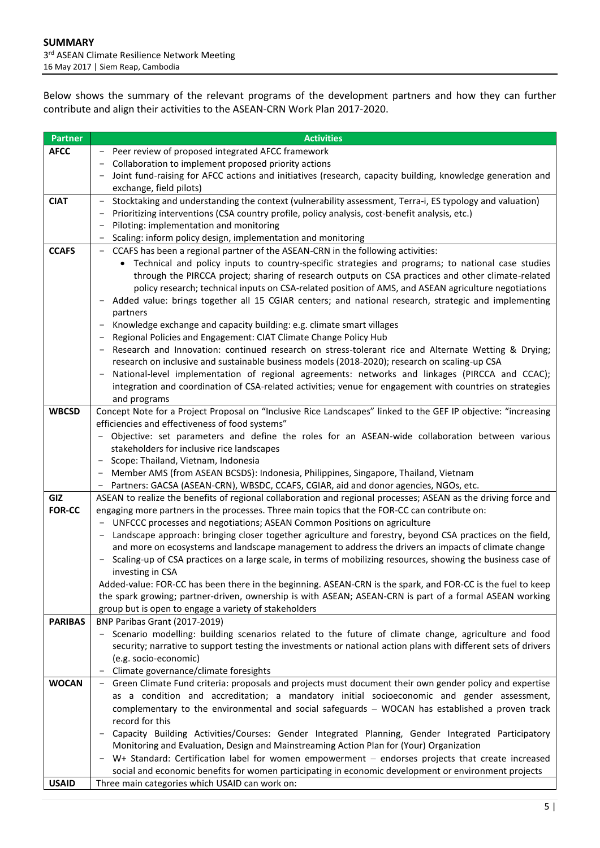Below shows the summary of the relevant programs of the development partners and how they can further contribute and align their activities to the ASEAN-CRN Work Plan 2017-2020.

| <b>Partner</b> | <b>Activities</b>                                                                                                                                                                                            |  |  |
|----------------|--------------------------------------------------------------------------------------------------------------------------------------------------------------------------------------------------------------|--|--|
| <b>AFCC</b>    | Peer review of proposed integrated AFCC framework                                                                                                                                                            |  |  |
|                | Collaboration to implement proposed priority actions                                                                                                                                                         |  |  |
|                | - Joint fund-raising for AFCC actions and initiatives (research, capacity building, knowledge generation and                                                                                                 |  |  |
|                | exchange, field pilots)                                                                                                                                                                                      |  |  |
| <b>CIAT</b>    | Stocktaking and understanding the context (vulnerability assessment, Terra-i, ES typology and valuation)<br>$\overline{\phantom{a}}$                                                                         |  |  |
|                | Prioritizing interventions (CSA country profile, policy analysis, cost-benefit analysis, etc.)                                                                                                               |  |  |
|                | Piloting: implementation and monitoring                                                                                                                                                                      |  |  |
|                | Scaling: inform policy design, implementation and monitoring                                                                                                                                                 |  |  |
| <b>CCAFS</b>   | - CCAFS has been a regional partner of the ASEAN-CRN in the following activities:                                                                                                                            |  |  |
|                | • Technical and policy inputs to country-specific strategies and programs; to national case studies                                                                                                          |  |  |
|                | through the PIRCCA project; sharing of research outputs on CSA practices and other climate-related                                                                                                           |  |  |
|                | policy research; technical inputs on CSA-related position of AMS, and ASEAN agriculture negotiations<br>Added value: brings together all 15 CGIAR centers; and national research, strategic and implementing |  |  |
|                | partners                                                                                                                                                                                                     |  |  |
|                | Knowledge exchange and capacity building: e.g. climate smart villages                                                                                                                                        |  |  |
|                | Regional Policies and Engagement: CIAT Climate Change Policy Hub                                                                                                                                             |  |  |
|                | Research and Innovation: continued research on stress-tolerant rice and Alternate Wetting & Drying;                                                                                                          |  |  |
|                | research on inclusive and sustainable business models (2018-2020); research on scaling-up CSA                                                                                                                |  |  |
|                | National-level implementation of regional agreements: networks and linkages (PIRCCA and CCAC);                                                                                                               |  |  |
|                | integration and coordination of CSA-related activities; venue for engagement with countries on strategies                                                                                                    |  |  |
|                | and programs                                                                                                                                                                                                 |  |  |
| <b>WBCSD</b>   | Concept Note for a Project Proposal on "Inclusive Rice Landscapes" linked to the GEF IP objective: "increasing                                                                                               |  |  |
|                | efficiencies and effectiveness of food systems"                                                                                                                                                              |  |  |
|                | - Objective: set parameters and define the roles for an ASEAN-wide collaboration between various                                                                                                             |  |  |
|                | stakeholders for inclusive rice landscapes<br>- Scope: Thailand, Vietnam, Indonesia                                                                                                                          |  |  |
|                | - Member AMS (from ASEAN BCSDS): Indonesia, Philippines, Singapore, Thailand, Vietnam                                                                                                                        |  |  |
|                | - Partners: GACSA (ASEAN-CRN), WBSDC, CCAFS, CGIAR, aid and donor agencies, NGOs, etc.                                                                                                                       |  |  |
| GIZ            | ASEAN to realize the benefits of regional collaboration and regional processes; ASEAN as the driving force and                                                                                               |  |  |
| <b>FOR-CC</b>  | engaging more partners in the processes. Three main topics that the FOR-CC can contribute on:                                                                                                                |  |  |
|                | - UNFCCC processes and negotiations; ASEAN Common Positions on agriculture                                                                                                                                   |  |  |
|                | Landscape approach: bringing closer together agriculture and forestry, beyond CSA practices on the field,                                                                                                    |  |  |
|                | and more on ecosystems and landscape management to address the drivers an impacts of climate change                                                                                                          |  |  |
|                | Scaling-up of CSA practices on a large scale, in terms of mobilizing resources, showing the business case of                                                                                                 |  |  |
|                | investing in CSA                                                                                                                                                                                             |  |  |
|                | Added-value: FOR-CC has been there in the beginning. ASEAN-CRN is the spark, and FOR-CC is the fuel to keep                                                                                                  |  |  |
|                | the spark growing; partner-driven, ownership is with ASEAN; ASEAN-CRN is part of a formal ASEAN working<br>group but is open to engage a variety of stakeholders                                             |  |  |
| <b>PARIBAS</b> | BNP Paribas Grant (2017-2019)                                                                                                                                                                                |  |  |
|                | - Scenario modelling: building scenarios related to the future of climate change, agriculture and food                                                                                                       |  |  |
|                | security; narrative to support testing the investments or national action plans with different sets of drivers                                                                                               |  |  |
|                | (e.g. socio-economic)                                                                                                                                                                                        |  |  |
|                | Climate governance/climate foresights                                                                                                                                                                        |  |  |
| <b>WOCAN</b>   | - Green Climate Fund criteria: proposals and projects must document their own gender policy and expertise                                                                                                    |  |  |
|                | as a condition and accreditation; a mandatory initial socioeconomic and gender assessment,                                                                                                                   |  |  |
|                | complementary to the environmental and social safeguards - WOCAN has established a proven track                                                                                                              |  |  |
|                | record for this                                                                                                                                                                                              |  |  |
|                | Capacity Building Activities/Courses: Gender Integrated Planning, Gender Integrated Participatory<br>$\overline{\phantom{a}}$                                                                                |  |  |
|                | Monitoring and Evaluation, Design and Mainstreaming Action Plan for (Your) Organization                                                                                                                      |  |  |
|                | W+ Standard: Certification label for women empowerment - endorses projects that create increased                                                                                                             |  |  |
| <b>USAID</b>   | social and economic benefits for women participating in economic development or environment projects                                                                                                         |  |  |
|                | Three main categories which USAID can work on:                                                                                                                                                               |  |  |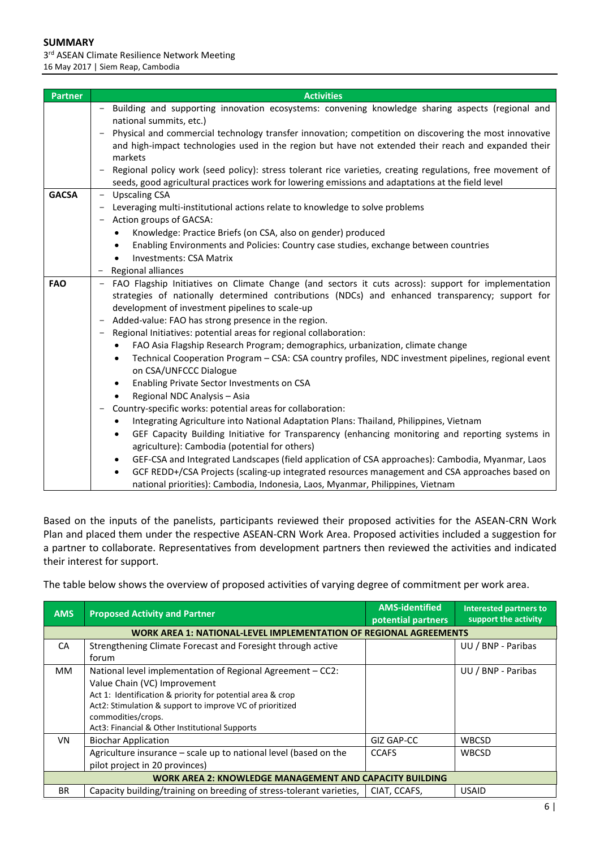3<sup>rd</sup> ASEAN Climate Resilience Network Meeting 16 May 2017 | Siem Reap, Cambodia

| <b>Partner</b> | <b>Activities</b>                                                                                                      |  |  |
|----------------|------------------------------------------------------------------------------------------------------------------------|--|--|
|                | Building and supporting innovation ecosystems: convening knowledge sharing aspects (regional and<br>$\qquad \qquad -$  |  |  |
|                | national summits, etc.)                                                                                                |  |  |
|                | Physical and commercial technology transfer innovation; competition on discovering the most innovative                 |  |  |
|                | and high-impact technologies used in the region but have not extended their reach and expanded their                   |  |  |
|                | markets                                                                                                                |  |  |
|                | Regional policy work (seed policy): stress tolerant rice varieties, creating regulations, free movement of             |  |  |
|                | seeds, good agricultural practices work for lowering emissions and adaptations at the field level                      |  |  |
| <b>GACSA</b>   | <b>Upscaling CSA</b><br>$\overline{\phantom{m}}$                                                                       |  |  |
|                | Leveraging multi-institutional actions relate to knowledge to solve problems                                           |  |  |
|                | Action groups of GACSA:                                                                                                |  |  |
|                | Knowledge: Practice Briefs (on CSA, also on gender) produced                                                           |  |  |
|                | Enabling Environments and Policies: Country case studies, exchange between countries<br><b>Investments: CSA Matrix</b> |  |  |
|                | Regional alliances<br>$\overline{\phantom{m}}$                                                                         |  |  |
| <b>FAO</b>     | FAO Flagship Initiatives on Climate Change (and sectors it cuts across): support for implementation                    |  |  |
|                | strategies of nationally determined contributions (NDCs) and enhanced transparency; support for                        |  |  |
|                | development of investment pipelines to scale-up                                                                        |  |  |
|                | Added-value: FAO has strong presence in the region.                                                                    |  |  |
|                | Regional Initiatives: potential areas for regional collaboration:                                                      |  |  |
|                | FAO Asia Flagship Research Program; demographics, urbanization, climate change                                         |  |  |
|                | Technical Cooperation Program - CSA: CSA country profiles, NDC investment pipelines, regional event                    |  |  |
|                | on CSA/UNFCCC Dialogue                                                                                                 |  |  |
|                | Enabling Private Sector Investments on CSA<br>٠                                                                        |  |  |
|                | Regional NDC Analysis - Asia                                                                                           |  |  |
|                | Country-specific works: potential areas for collaboration:                                                             |  |  |
|                | Integrating Agriculture into National Adaptation Plans: Thailand, Philippines, Vietnam                                 |  |  |
|                | GEF Capacity Building Initiative for Transparency (enhancing monitoring and reporting systems in                       |  |  |
|                | agriculture): Cambodia (potential for others)                                                                          |  |  |
|                | GEF-CSA and Integrated Landscapes (field application of CSA approaches): Cambodia, Myanmar, Laos<br>٠                  |  |  |
|                | GCF REDD+/CSA Projects (scaling-up integrated resources management and CSA approaches based on                         |  |  |
|                | national priorities): Cambodia, Indonesia, Laos, Myanmar, Philippines, Vietnam                                         |  |  |

Based on the inputs of the panelists, participants reviewed their proposed activities for the ASEAN-CRN Work Plan and placed them under the respective ASEAN-CRN Work Area. Proposed activities included a suggestion for a partner to collaborate. Representatives from development partners then reviewed the activities and indicated their interest for support.

The table below shows the overview of proposed activities of varying degree of commitment per work area.

| <b>AMS</b>                                                     | <b>Proposed Activity and Partner</b>                                 | <b>AMS-identified</b><br>potential partners | <b>Interested partners to</b><br>support the activity |  |
|----------------------------------------------------------------|----------------------------------------------------------------------|---------------------------------------------|-------------------------------------------------------|--|
|                                                                | WORK AREA 1: NATIONAL-LEVEL IMPLEMENTATION OF REGIONAL AGREEMENTS    |                                             |                                                       |  |
| CA                                                             | Strengthening Climate Forecast and Foresight through active          |                                             | UU / BNP - Paribas                                    |  |
|                                                                | forum                                                                |                                             |                                                       |  |
| МM                                                             | National level implementation of Regional Agreement - CC2:           |                                             | UU / BNP - Paribas                                    |  |
|                                                                | Value Chain (VC) Improvement                                         |                                             |                                                       |  |
|                                                                | Act 1: Identification & priority for potential area & crop           |                                             |                                                       |  |
|                                                                | Act2: Stimulation & support to improve VC of prioritized             |                                             |                                                       |  |
|                                                                | commodities/crops.                                                   |                                             |                                                       |  |
|                                                                | Act3: Financial & Other Institutional Supports                       |                                             |                                                       |  |
| <b>VN</b>                                                      | <b>Biochar Application</b>                                           | GIZ GAP-CC                                  | <b>WBCSD</b>                                          |  |
|                                                                | Agriculture insurance – scale up to national level (based on the     | <b>CCAFS</b>                                | <b>WBCSD</b>                                          |  |
|                                                                | pilot project in 20 provinces)                                       |                                             |                                                       |  |
| <b>WORK AREA 2: KNOWLEDGE MANAGEMENT AND CAPACITY BUILDING</b> |                                                                      |                                             |                                                       |  |
| <b>BR</b>                                                      | Capacity building/training on breeding of stress-tolerant varieties, | CIAT. CCAFS.                                | <b>USAID</b>                                          |  |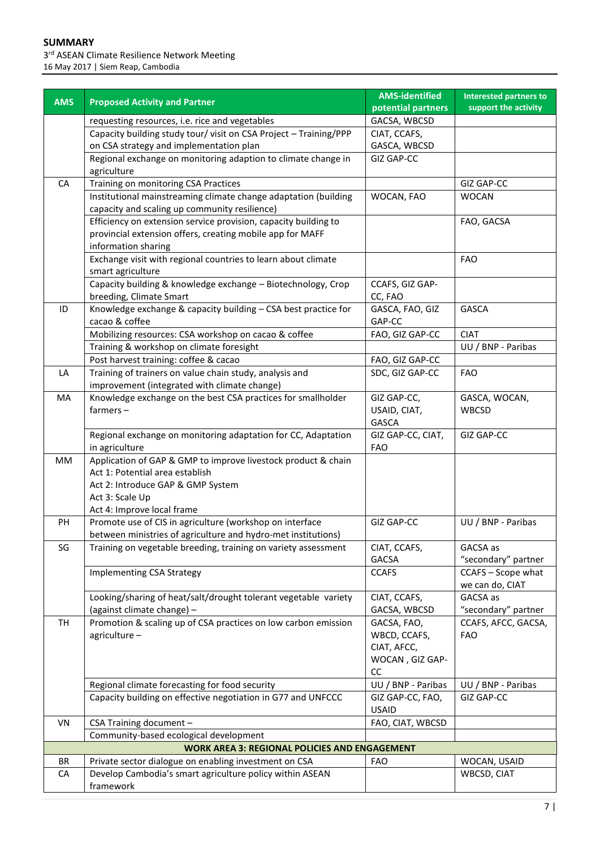3<sup>rd</sup> ASEAN Climate Resilience Network Meeting 16 May 2017 | Siem Reap, Cambodia

|            |                                                                                  | <b>AMS-identified</b>     | <b>Interested partners to</b>         |
|------------|----------------------------------------------------------------------------------|---------------------------|---------------------------------------|
| <b>AMS</b> | <b>Proposed Activity and Partner</b>                                             | potential partners        | support the activity                  |
|            | requesting resources, i.e. rice and vegetables                                   | GACSA, WBCSD              |                                       |
|            | Capacity building study tour/ visit on CSA Project - Training/PPP                | CIAT, CCAFS,              |                                       |
|            | on CSA strategy and implementation plan                                          | GASCA, WBCSD              |                                       |
|            | Regional exchange on monitoring adaption to climate change in                    | <b>GIZ GAP-CC</b>         |                                       |
|            | agriculture                                                                      |                           |                                       |
| CA         | Training on monitoring CSA Practices                                             |                           | GIZ GAP-CC                            |
|            | Institutional mainstreaming climate change adaptation (building                  | WOCAN, FAO                | <b>WOCAN</b>                          |
|            | capacity and scaling up community resilience)                                    |                           |                                       |
|            | Efficiency on extension service provision, capacity building to                  |                           | FAO, GACSA                            |
|            | provincial extension offers, creating mobile app for MAFF                        |                           |                                       |
|            | information sharing                                                              |                           |                                       |
|            | Exchange visit with regional countries to learn about climate                    |                           | <b>FAO</b>                            |
|            | smart agriculture                                                                |                           |                                       |
|            | Capacity building & knowledge exchange - Biotechnology, Crop                     | CCAFS, GIZ GAP-           |                                       |
|            | breeding, Climate Smart                                                          | CC, FAO                   |                                       |
| ID         | Knowledge exchange & capacity building - CSA best practice for<br>cacao & coffee | GASCA, FAO, GIZ<br>GAP-CC | GASCA                                 |
|            | Mobilizing resources: CSA workshop on cacao & coffee                             | FAO, GIZ GAP-CC           | <b>CIAT</b>                           |
|            | Training & workshop on climate foresight                                         |                           | UU / BNP - Paribas                    |
|            | Post harvest training: coffee & cacao                                            | FAO, GIZ GAP-CC           |                                       |
| LA         | Training of trainers on value chain study, analysis and                          | SDC, GIZ GAP-CC           | <b>FAO</b>                            |
|            | improvement (integrated with climate change)                                     |                           |                                       |
| MA         | Knowledge exchange on the best CSA practices for smallholder                     | GIZ GAP-CC,               | GASCA, WOCAN,                         |
|            | $farmers -$                                                                      | USAID, CIAT,              | <b>WBCSD</b>                          |
|            |                                                                                  | GASCA                     |                                       |
|            | Regional exchange on monitoring adaptation for CC, Adaptation                    | GIZ GAP-CC, CIAT,         | GIZ GAP-CC                            |
|            | in agriculture                                                                   | <b>FAO</b>                |                                       |
| МM         | Application of GAP & GMP to improve livestock product & chain                    |                           |                                       |
|            | Act 1: Potential area establish                                                  |                           |                                       |
|            | Act 2: Introduce GAP & GMP System                                                |                           |                                       |
|            | Act 3: Scale Up                                                                  |                           |                                       |
|            | Act 4: Improve local frame                                                       |                           |                                       |
| PH         | Promote use of CIS in agriculture (workshop on interface                         | <b>GIZ GAP-CC</b>         | UU / BNP - Paribas                    |
|            | between ministries of agriculture and hydro-met institutions)                    |                           |                                       |
| SG         | Training on vegetable breeding, training on variety assessment                   | CIAT, CCAFS,              | GACSA as                              |
|            |                                                                                  | <b>GACSA</b>              | "secondary" partner                   |
|            | <b>Implementing CSA Strategy</b>                                                 | <b>CCAFS</b>              | CCAFS - Scope what<br>we can do, CIAT |
|            | Looking/sharing of heat/salt/drought tolerant vegetable variety                  | CIAT, CCAFS,              | GACSA as                              |
|            | (against climate change) -                                                       | GACSA, WBCSD              | "secondary" partner                   |
| TH         | Promotion & scaling up of CSA practices on low carbon emission                   | GACSA, FAO,               | CCAFS, AFCC, GACSA,                   |
|            | agriculture-                                                                     | WBCD, CCAFS,              | <b>FAO</b>                            |
|            |                                                                                  | CIAT, AFCC,               |                                       |
|            |                                                                                  | WOCAN, GIZ GAP-           |                                       |
|            |                                                                                  | cc                        |                                       |
|            | Regional climate forecasting for food security                                   | UU / BNP - Paribas        | UU / BNP - Paribas                    |
|            | Capacity building on effective negotiation in G77 and UNFCCC                     | GIZ GAP-CC, FAO,          | <b>GIZ GAP-CC</b>                     |
|            |                                                                                  | <b>USAID</b>              |                                       |
| VN         | CSA Training document -                                                          | FAO, CIAT, WBCSD          |                                       |
|            | Community-based ecological development                                           |                           |                                       |
|            | <b>WORK AREA 3: REGIONAL POLICIES AND ENGAGEMENT</b>                             |                           |                                       |
| <b>BR</b>  | Private sector dialogue on enabling investment on CSA                            | <b>FAO</b>                | WOCAN, USAID                          |
| CA         | Develop Cambodia's smart agriculture policy within ASEAN                         |                           | WBCSD, CIAT                           |
|            | framework                                                                        |                           |                                       |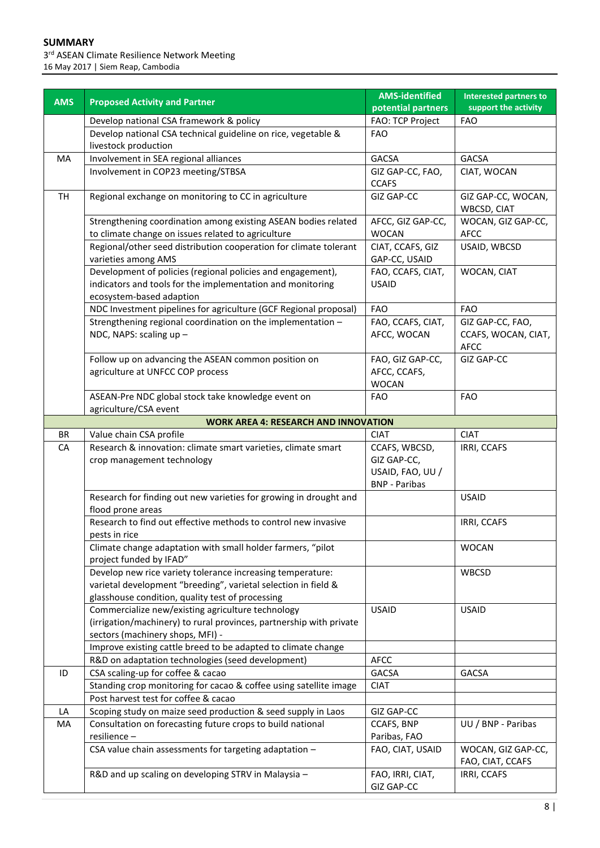3<sup>rd</sup> ASEAN Climate Resilience Network Meeting 16 May 2017 | Siem Reap, Cambodia

|            |                                                                                                                                                                                  | <b>AMS-identified</b>                                                    | <b>Interested partners to</b>                          |
|------------|----------------------------------------------------------------------------------------------------------------------------------------------------------------------------------|--------------------------------------------------------------------------|--------------------------------------------------------|
| <b>AMS</b> | <b>Proposed Activity and Partner</b>                                                                                                                                             | potential partners                                                       | support the activity                                   |
|            | Develop national CSA framework & policy                                                                                                                                          | FAO: TCP Project                                                         | <b>FAO</b>                                             |
|            | Develop national CSA technical guideline on rice, vegetable &<br>livestock production                                                                                            | <b>FAO</b>                                                               |                                                        |
| MA         | Involvement in SEA regional alliances                                                                                                                                            | <b>GACSA</b>                                                             | <b>GACSA</b>                                           |
|            | Involvement in COP23 meeting/STBSA                                                                                                                                               | GIZ GAP-CC, FAO,<br><b>CCAFS</b>                                         | CIAT, WOCAN                                            |
| <b>TH</b>  | Regional exchange on monitoring to CC in agriculture                                                                                                                             | <b>GIZ GAP-CC</b>                                                        | GIZ GAP-CC, WOCAN,<br>WBCSD, CIAT                      |
|            | Strengthening coordination among existing ASEAN bodies related<br>to climate change on issues related to agriculture                                                             | AFCC, GIZ GAP-CC,<br><b>WOCAN</b>                                        | WOCAN, GIZ GAP-CC,<br><b>AFCC</b>                      |
|            | Regional/other seed distribution cooperation for climate tolerant<br>varieties among AMS                                                                                         | CIAT, CCAFS, GIZ<br>GAP-CC, USAID                                        | USAID, WBCSD                                           |
|            | Development of policies (regional policies and engagement),<br>indicators and tools for the implementation and monitoring<br>ecosystem-based adaption                            | FAO, CCAFS, CIAT,<br><b>USAID</b>                                        | WOCAN, CIAT                                            |
|            | NDC Investment pipelines for agriculture (GCF Regional proposal)                                                                                                                 | <b>FAO</b>                                                               | <b>FAO</b>                                             |
|            | Strengthening regional coordination on the implementation -<br>NDC, NAPS: scaling up -                                                                                           | FAO, CCAFS, CIAT,<br>AFCC, WOCAN                                         | GIZ GAP-CC, FAO,<br>CCAFS, WOCAN, CIAT,<br><b>AFCC</b> |
|            | Follow up on advancing the ASEAN common position on<br>agriculture at UNFCC COP process                                                                                          | FAO, GIZ GAP-CC,<br>AFCC, CCAFS,<br><b>WOCAN</b>                         | <b>GIZ GAP-CC</b>                                      |
|            | ASEAN-Pre NDC global stock take knowledge event on<br>agriculture/CSA event                                                                                                      | <b>FAO</b>                                                               | <b>FAO</b>                                             |
|            | <b>WORK AREA 4: RESEARCH AND INNOVATION</b>                                                                                                                                      |                                                                          |                                                        |
| <b>BR</b>  | Value chain CSA profile                                                                                                                                                          | <b>CIAT</b>                                                              | <b>CIAT</b>                                            |
| CA         | Research & innovation: climate smart varieties, climate smart<br>crop management technology                                                                                      | CCAFS, WBCSD,<br>GIZ GAP-CC,<br>USAID, FAO, UU /<br><b>BNP</b> - Paribas | IRRI, CCAFS                                            |
|            | Research for finding out new varieties for growing in drought and<br>flood prone areas                                                                                           |                                                                          | <b>USAID</b>                                           |
|            | Research to find out effective methods to control new invasive<br>pests in rice                                                                                                  |                                                                          | IRRI, CCAFS                                            |
|            | Climate change adaptation with small holder farmers, "pilot<br>project funded by IFAD"                                                                                           |                                                                          | <b>WOCAN</b>                                           |
|            | Develop new rice variety tolerance increasing temperature:<br>varietal development "breeding", varietal selection in field &<br>glasshouse condition, quality test of processing |                                                                          | WBCSD                                                  |
|            | Commercialize new/existing agriculture technology<br>(irrigation/machinery) to rural provinces, partnership with private<br>sectors (machinery shops, MFI) -                     | <b>USAID</b>                                                             | <b>USAID</b>                                           |
|            | Improve existing cattle breed to be adapted to climate change                                                                                                                    |                                                                          |                                                        |
|            | R&D on adaptation technologies (seed development)                                                                                                                                | <b>AFCC</b>                                                              |                                                        |
| ID         | CSA scaling-up for coffee & cacao                                                                                                                                                | GACSA                                                                    | <b>GACSA</b>                                           |
|            | Standing crop monitoring for cacao & coffee using satellite image                                                                                                                | <b>CIAT</b>                                                              |                                                        |
|            | Post harvest test for coffee & cacao                                                                                                                                             |                                                                          |                                                        |
| LA         | Scoping study on maize seed production & seed supply in Laos                                                                                                                     | GIZ GAP-CC<br>CCAFS, BNP                                                 |                                                        |
| MA         | Consultation on forecasting future crops to build national<br>resilience -                                                                                                       | Paribas, FAO                                                             | UU / BNP - Paribas                                     |
|            | CSA value chain assessments for targeting adaptation -                                                                                                                           | FAO, CIAT, USAID                                                         | WOCAN, GIZ GAP-CC,<br>FAO, CIAT, CCAFS                 |
|            | R&D and up scaling on developing STRV in Malaysia -                                                                                                                              | FAO, IRRI, CIAT,<br>GIZ GAP-CC                                           | IRRI, CCAFS                                            |